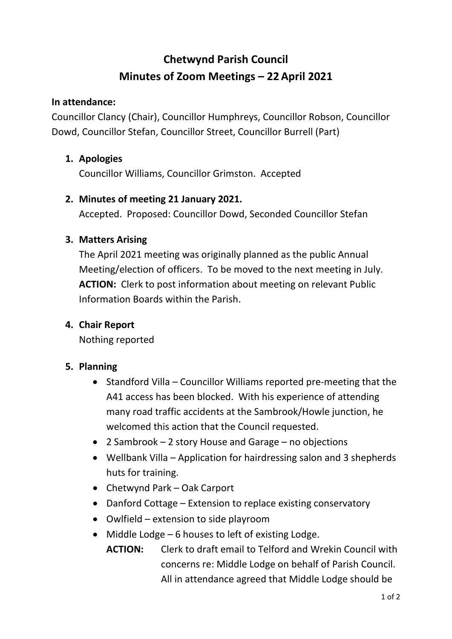# **Chetwynd Parish Council Minutes of Zoom Meetings – 22April 2021**

#### **In attendance:**

Councillor Clancy (Chair), Councillor Humphreys, Councillor Robson, Councillor Dowd, Councillor Stefan, Councillor Street, Councillor Burrell (Part)

#### **1. Apologies**

Councillor Williams, Councillor Grimston. Accepted

#### **2. Minutes of meeting 21 January 2021.**

Accepted. Proposed: Councillor Dowd, Seconded Councillor Stefan

### **3. Matters Arising**

The April 2021 meeting was originally planned as the public Annual Meeting/election of officers. To be moved to the next meeting in July. **ACTION:** Clerk to post information about meeting on relevant Public Information Boards within the Parish.

## **4. Chair Report**

Nothing reported

#### **5. Planning**

- Standford Villa Councillor Williams reported pre-meeting that the A41 access has been blocked. With his experience of attending many road traffic accidents at the Sambrook/Howle junction, he welcomed this action that the Council requested.
- 2 Sambrook 2 story House and Garage no objections
- Wellbank Villa Application for hairdressing salon and 3 shepherds huts for training.
- Chetwynd Park Oak Carport
- Danford Cottage Extension to replace existing conservatory
- Owlfield extension to side playroom
- Middle Lodge 6 houses to left of existing Lodge.
	- **ACTION:** Clerk to draft email to Telford and Wrekin Council with concerns re: Middle Lodge on behalf of Parish Council. All in attendance agreed that Middle Lodge should be